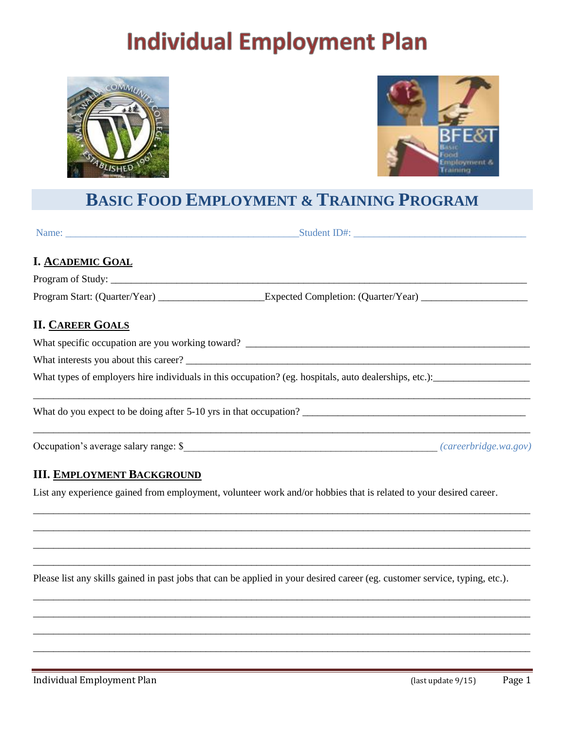# **Individual Employment Plan**





## **BASIC FOOD EMPLOYMENT & TRAINING PROGRAM**

| <b>I. ACADEMIC GOAL</b>                                           |  |  |
|-------------------------------------------------------------------|--|--|
|                                                                   |  |  |
|                                                                   |  |  |
| <b>II. CAREER GOALS</b>                                           |  |  |
| What specific occupation are you working toward?                  |  |  |
| What interests you about this career?                             |  |  |
|                                                                   |  |  |
| What do you expect to be doing after 5-10 yrs in that occupation? |  |  |
|                                                                   |  |  |

## **III. EMPLOYMENT BACKGROUND**

List any experience gained from employment, volunteer work and/or hobbies that is related to your desired career.

\_\_\_\_\_\_\_\_\_\_\_\_\_\_\_\_\_\_\_\_\_\_\_\_\_\_\_\_\_\_\_\_\_\_\_\_\_\_\_\_\_\_\_\_\_\_\_\_\_\_\_\_\_\_\_\_\_\_\_\_\_\_\_\_\_\_\_\_\_\_\_\_\_\_\_\_\_\_\_\_\_\_\_\_\_\_\_\_\_\_\_\_\_\_\_\_\_\_ \_\_\_\_\_\_\_\_\_\_\_\_\_\_\_\_\_\_\_\_\_\_\_\_\_\_\_\_\_\_\_\_\_\_\_\_\_\_\_\_\_\_\_\_\_\_\_\_\_\_\_\_\_\_\_\_\_\_\_\_\_\_\_\_\_\_\_\_\_\_\_\_\_\_\_\_\_\_\_\_\_\_\_\_\_\_\_\_\_\_\_\_\_\_\_\_\_\_ \_\_\_\_\_\_\_\_\_\_\_\_\_\_\_\_\_\_\_\_\_\_\_\_\_\_\_\_\_\_\_\_\_\_\_\_\_\_\_\_\_\_\_\_\_\_\_\_\_\_\_\_\_\_\_\_\_\_\_\_\_\_\_\_\_\_\_\_\_\_\_\_\_\_\_\_\_\_\_\_\_\_\_\_\_\_\_\_\_\_\_\_\_\_\_\_\_\_ \_\_\_\_\_\_\_\_\_\_\_\_\_\_\_\_\_\_\_\_\_\_\_\_\_\_\_\_\_\_\_\_\_\_\_\_\_\_\_\_\_\_\_\_\_\_\_\_\_\_\_\_\_\_\_\_\_\_\_\_\_\_\_\_\_\_\_\_\_\_\_\_\_\_\_\_\_\_\_\_\_\_\_\_\_\_\_\_\_\_\_\_\_\_\_\_\_\_

Please list any skills gained in past jobs that can be applied in your desired career (eg. customer service, typing, etc.).

\_\_\_\_\_\_\_\_\_\_\_\_\_\_\_\_\_\_\_\_\_\_\_\_\_\_\_\_\_\_\_\_\_\_\_\_\_\_\_\_\_\_\_\_\_\_\_\_\_\_\_\_\_\_\_\_\_\_\_\_\_\_\_\_\_\_\_\_\_\_\_\_\_\_\_\_\_\_\_\_\_\_\_\_\_\_\_\_\_\_\_\_\_\_\_\_\_\_ \_\_\_\_\_\_\_\_\_\_\_\_\_\_\_\_\_\_\_\_\_\_\_\_\_\_\_\_\_\_\_\_\_\_\_\_\_\_\_\_\_\_\_\_\_\_\_\_\_\_\_\_\_\_\_\_\_\_\_\_\_\_\_\_\_\_\_\_\_\_\_\_\_\_\_\_\_\_\_\_\_\_\_\_\_\_\_\_\_\_\_\_\_\_\_\_\_\_ \_\_\_\_\_\_\_\_\_\_\_\_\_\_\_\_\_\_\_\_\_\_\_\_\_\_\_\_\_\_\_\_\_\_\_\_\_\_\_\_\_\_\_\_\_\_\_\_\_\_\_\_\_\_\_\_\_\_\_\_\_\_\_\_\_\_\_\_\_\_\_\_\_\_\_\_\_\_\_\_\_\_\_\_\_\_\_\_\_\_\_\_\_\_\_\_\_\_ \_\_\_\_\_\_\_\_\_\_\_\_\_\_\_\_\_\_\_\_\_\_\_\_\_\_\_\_\_\_\_\_\_\_\_\_\_\_\_\_\_\_\_\_\_\_\_\_\_\_\_\_\_\_\_\_\_\_\_\_\_\_\_\_\_\_\_\_\_\_\_\_\_\_\_\_\_\_\_\_\_\_\_\_\_\_\_\_\_\_\_\_\_\_\_\_\_\_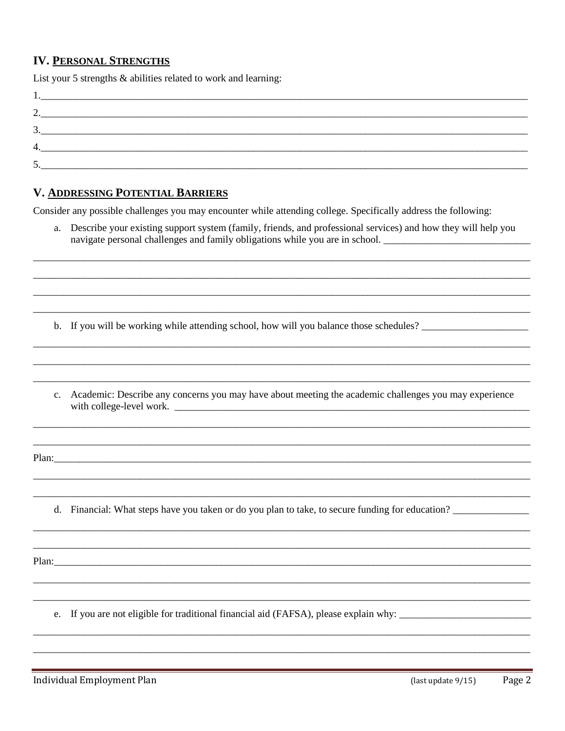### **IV. PERSONAL STRENGTHS**

List your 5 strengths & abilities related to work and learning:

| ◠<br><u>، ،</u> |  |  |
|-----------------|--|--|
| 2<br>J.         |  |  |
| 4.              |  |  |
| 5<br>$\cup$ .   |  |  |

#### **V. ADDRESSING POTENTIAL BARRIERS**

Consider any possible challenges you may encounter while attending college. Specifically address the following:

a. Describe your existing support system (family, friends, and professional services) and how they will help you navigate personal challenges and family obligations while you are in school. \_\_\_\_\_\_\_\_\_\_\_\_\_\_\_\_\_\_\_\_\_\_\_

b. If you will be working while attending school, how will you balance those schedules?

c. Academic: Describe any concerns you may have about meeting the academic challenges you may experience 

Plan:

d. Financial: What steps have you taken or do you plan to take, to secure funding for education?

Plan:

e. If you are not eligible for traditional financial aid (FAFSA), please explain why: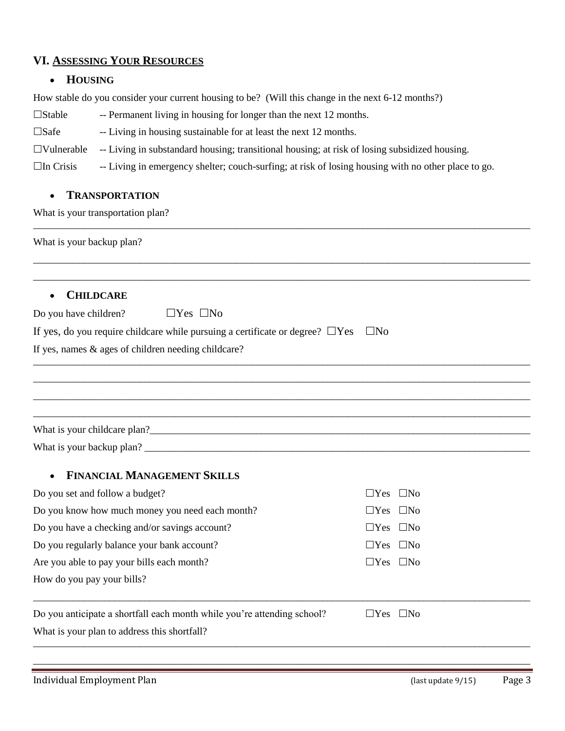#### **VI. ASSESSING YOUR RESOURCES**

#### **HOUSING**

How stable do you consider your current housing to be? (Will this change in the next 6-12 months?)

- $\square$ Stable -- Permanent living in housing for longer than the next 12 months.
- $\square$ Safe -- Living in housing sustainable for at least the next 12 months.
- $\Box$ Vulnerable -- Living in substandard housing; transitional housing; at risk of losing subsidized housing.

 $\Box$  In Crisis -- Living in emergency shelter; couch-surfing; at risk of losing housing with no other place to go.

\_\_\_\_\_\_\_\_\_\_\_\_\_\_\_\_\_\_\_\_\_\_\_\_\_\_\_\_\_\_\_\_\_\_\_\_\_\_\_\_\_\_\_\_\_\_\_\_\_\_\_\_\_\_\_\_\_\_\_\_\_\_\_\_\_\_\_\_\_\_\_\_\_\_\_\_\_\_\_\_\_\_\_\_\_\_\_\_\_\_\_\_\_\_\_\_\_\_

#### **TRANSPORTATION**

What is your transportation plan?

What is your backup plan? \_\_\_\_\_\_\_\_\_\_\_\_\_\_\_\_\_\_\_\_\_\_\_\_\_\_\_\_\_\_\_\_\_\_\_\_\_\_\_\_\_\_\_\_\_\_\_\_\_\_\_\_\_\_\_\_\_\_\_\_\_\_\_\_\_\_\_\_\_\_\_\_\_\_\_\_\_\_\_\_\_\_\_\_\_\_\_\_\_\_\_\_\_\_\_\_\_\_ \_\_\_\_\_\_\_\_\_\_\_\_\_\_\_\_\_\_\_\_\_\_\_\_\_\_\_\_\_\_\_\_\_\_\_\_\_\_\_\_\_\_\_\_\_\_\_\_\_\_\_\_\_\_\_\_\_\_\_\_\_\_\_\_\_\_\_\_\_\_\_\_\_\_\_\_\_\_\_\_\_\_\_\_\_\_\_\_\_\_\_\_\_\_\_\_\_\_ **CHILDCARE** Do you have children?  $\Box$  Yes  $\Box$  No If yes, do you require childcare while pursuing a certificate or degree?  $\Box$ Yes  $\Box$ No If yes, names & ages of children needing childcare? \_\_\_\_\_\_\_\_\_\_\_\_\_\_\_\_\_\_\_\_\_\_\_\_\_\_\_\_\_\_\_\_\_\_\_\_\_\_\_\_\_\_\_\_\_\_\_\_\_\_\_\_\_\_\_\_\_\_\_\_\_\_\_\_\_\_\_\_\_\_\_\_\_\_\_\_\_\_\_\_\_\_\_\_\_\_\_\_\_\_\_\_\_\_\_\_\_\_ \_\_\_\_\_\_\_\_\_\_\_\_\_\_\_\_\_\_\_\_\_\_\_\_\_\_\_\_\_\_\_\_\_\_\_\_\_\_\_\_\_\_\_\_\_\_\_\_\_\_\_\_\_\_\_\_\_\_\_\_\_\_\_\_\_\_\_\_\_\_\_\_\_\_\_\_\_\_\_\_\_\_\_\_\_\_\_\_\_\_\_\_\_\_\_\_\_\_ \_\_\_\_\_\_\_\_\_\_\_\_\_\_\_\_\_\_\_\_\_\_\_\_\_\_\_\_\_\_\_\_\_\_\_\_\_\_\_\_\_\_\_\_\_\_\_\_\_\_\_\_\_\_\_\_\_\_\_\_\_\_\_\_\_\_\_\_\_\_\_\_\_\_\_\_\_\_\_\_\_\_\_\_\_\_\_\_\_\_\_\_\_\_\_\_\_\_ \_\_\_\_\_\_\_\_\_\_\_\_\_\_\_\_\_\_\_\_\_\_\_\_\_\_\_\_\_\_\_\_\_\_\_\_\_\_\_\_\_\_\_\_\_\_\_\_\_\_\_\_\_\_\_\_\_\_\_\_\_\_\_\_\_\_\_\_\_\_\_\_\_\_\_\_\_\_\_\_\_\_\_\_\_\_\_\_\_\_\_\_\_\_\_\_\_\_ What is your childcare plan?\_\_\_\_\_\_\_\_\_\_\_\_\_\_\_\_\_\_\_\_\_\_\_\_\_\_\_\_\_\_\_\_\_\_\_\_\_\_\_\_\_\_\_\_\_\_\_\_\_\_\_\_\_\_\_\_\_\_\_\_\_\_\_\_\_\_\_\_\_\_\_\_\_\_\_ What is your backup plan? **FINANCIAL MANAGEMENT SKILLS** Do you set and follow a budget?  $\Box$  Yes  $\Box$  No Do you know how much money you need each month?  $\Box$  Yes  $\Box$  No Do you have a checking and/or savings account?  $\Box$  Yes  $\Box$  No Do you regularly balance your bank account?  $\Box$  Yes  $\Box$  No Are you able to pay your bills each month?  $\Box$  Yes  $\Box$  No How do you pay your bills? \_\_\_\_\_\_\_\_\_\_\_\_\_\_\_\_\_\_\_\_\_\_\_\_\_\_\_\_\_\_\_\_\_\_\_\_\_\_\_\_\_\_\_\_\_\_\_\_\_\_\_\_\_\_\_\_\_\_\_\_\_\_\_\_\_\_\_\_\_\_\_\_\_\_\_\_\_\_\_\_\_\_\_\_\_\_\_\_\_\_\_\_\_\_\_\_\_\_

\_\_\_\_\_\_\_\_\_\_\_\_\_\_\_\_\_\_\_\_\_\_\_\_\_\_\_\_\_\_\_\_\_\_\_\_\_\_\_\_\_\_\_\_\_\_\_\_\_\_\_\_\_\_\_\_\_\_\_\_\_\_\_\_\_\_\_\_\_\_\_\_\_\_\_\_\_\_\_\_\_\_\_\_\_\_\_\_\_\_\_\_\_\_\_\_\_\_ \_\_\_\_\_\_\_\_\_\_\_\_\_\_\_\_\_\_\_\_\_\_\_\_\_\_\_\_\_\_\_\_\_\_\_\_\_\_\_\_\_\_\_\_\_\_\_\_\_\_\_\_\_\_\_\_\_\_\_\_\_\_\_\_\_\_\_\_\_\_\_\_\_\_\_\_\_\_\_\_\_\_\_\_\_\_\_\_\_\_\_\_\_\_\_\_\_\_

| Do you anticipate a shortfall each month while you're attending school? | $\Box$ Yes $\Box$ No |  |
|-------------------------------------------------------------------------|----------------------|--|
| What is your plan to address this shortfall?                            |                      |  |